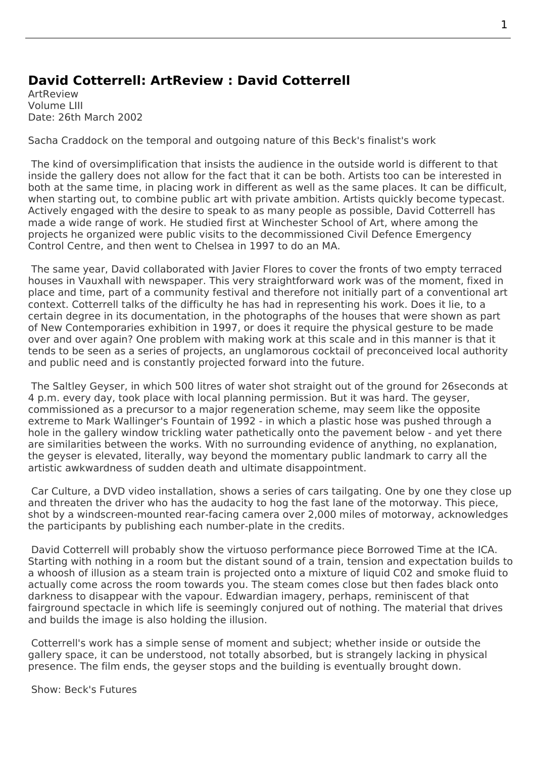## **David Cotterrell: ArtReview : David Cotterrell**

ArtReview Volume LIII Date: 26th March 2002

Sacha Craddock on the temporal and outgoing nature of this Beck's finalist's work

 The kind of oversimplification that insists the audience in the outside world is different to that inside the gallery does not allow for the fact that it can be both. Artists too can be interested in both at the same time, in placing work in different as well as the same places. It can be difficult, when starting out, to combine public art with private ambition. Artists quickly become typecast. Actively engaged with the desire to speak to as many people as possible, David Cotterrell has made a wide range of work. He studied first at Winchester School of Art, where among the projects he organized were public visits to the decommissioned Civil Defence Emergency Control Centre, and then went to Chelsea in 1997 to do an MA.

 The same year, David collaborated with Javier Flores to cover the fronts of two empty terraced houses in Vauxhall with newspaper. This very straightforward work was of the moment, fixed in place and time, part of a community festival and therefore not initially part of a conventional art context. Cotterrell talks of the difficulty he has had in representing his work. Does it lie, to a certain degree in its documentation, in the photographs of the houses that were shown as part of New Contemporaries exhibition in 1997, or does it require the physical gesture to be made over and over again? One problem with making work at this scale and in this manner is that it tends to be seen as a series of projects, an unglamorous cocktail of preconceived local authority and public need and is constantly projected forward into the future.

The Saltley Geyser, in which 500 litres of water shot straight out of the ground for 26seconds at 4 p.m. every day, took place with local planning permission. But it was hard. The geyser, commissioned as a precursor to a major regeneration scheme, may seem like the opposite extreme to Mark Wallinger's Fountain of 1992 - in which a plastic hose was pushed through a [hole in the gallery w](http://www.cotterrell.com/projects/31/saltley-geyser/)indow trickling water pathetically onto the pavement below - and yet there are similarities between the works. With no surrounding evidence of anything, no explanation, the geyser is elevated, literally, way beyond the momentary public landmark to carry all the artistic awkwardness of sudden death and ultimate disappointment.

Car Culture, a DVD video installation, shows a series of cars tailgating. One by one they close up and threaten the driver who has the audacity to hog the fast lane of the motorway. This piece, shot by a windscreen-mounted rear-facing camera over 2,000 miles of motorway, acknowledges the participants by publishing each number-plate in the credits.

 David Cotterrell will probably show the virtuoso performance piece Borrowed Time at the ICA. Starting with nothing in a room but the distant sound of a train, tension and expectation builds to a whoosh of illusion as a steam train is projected onto a mixture of liquid C02 and smoke fluid to actually come across the room towards you. The steam comes close but then fades black onto darkness to disappear with the vapour. Edwardian imagery, perhap[s, reminiscent o](http://www.cotterrell.com/projects/12/borrowed-time-v/)f that fairground spectacle in which life is seemingly conjured out of nothing. The material that drives and builds the image is also holding the illusion.

 Cotterrell's work has a simple sense of moment and subject; whether inside or outside the gallery space, it can be understood, not totally absorbed, but is strangely lacking in physical presence. The film ends, the geyser stops and the building is eventually brought down.

Show: Beck's Futures